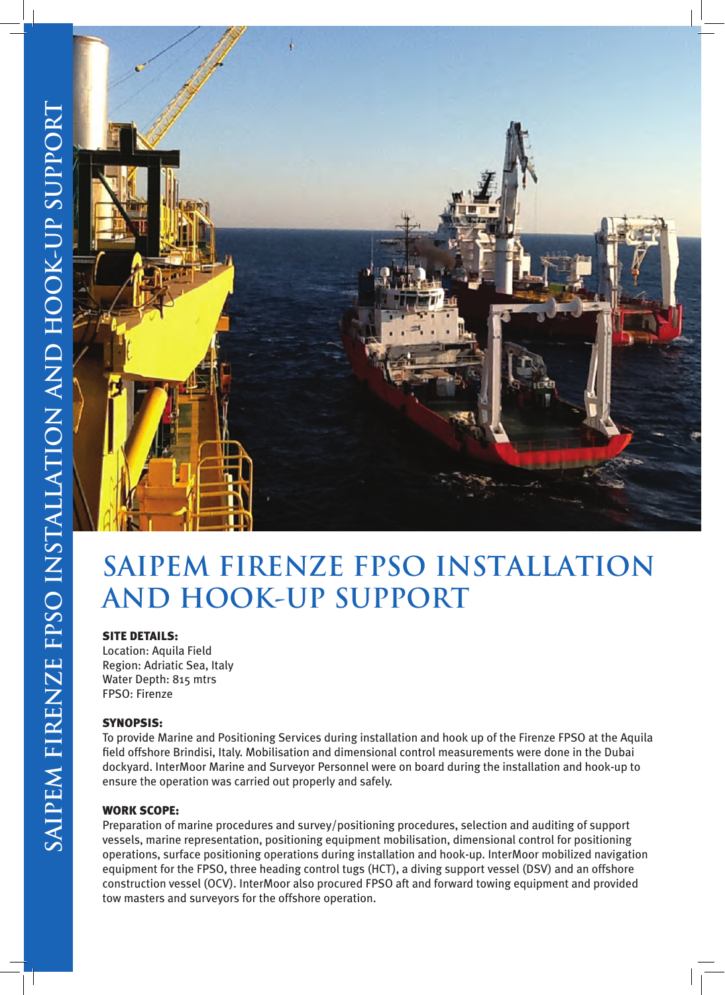

# **SAIPEM FIRENZE FPSO INSTALLATION AND HOOK-UP SUPPORT**

### SITE DETAILS:

Location: Aquila Field Region: Adriatic Sea, Italy Water Depth: 815 mtrs FPSO: Firenze

### SYNOPSIS:

To provide Marine and Positioning Services during installation and hook up of the Firenze FPSO at the Aquila field offshore Brindisi, Italy. Mobilisation and dimensional control measurements were done in the Dubai dockyard. InterMoor Marine and Surveyor Personnel were on board during the installation and hook-up to ensure the operation was carried out properly and safely.

### WORK SCOPE:

Preparation of marine procedures and survey/positioning procedures, selection and auditing of support vessels, marine representation, positioning equipment mobilisation, dimensional control for positioning operations, surface positioning operations during installation and hook-up. InterMoor mobilized navigation equipment for the FPSO, three heading control tugs (HCT), a diving support vessel (DSV) and an offshore construction vessel (OCV). InterMoor also procured FPSO aft and forward towing equipment and provided tow masters and surveyors for the offshore operation.